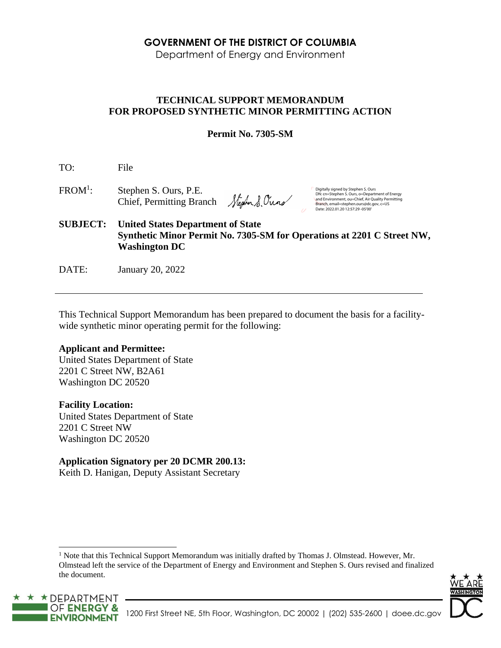**GOVERNMENT OF THE DISTRICT OF COLUMBIA**

Department of Energy and Environment

## **TECHNICAL SUPPORT MEMORANDUM FOR PROPOSED SYNTHETIC MINOR PERMITTING ACTION**

**Permit No. 7305-SM**

TO: File

 $FROM<sup>1</sup>$ : Stephen S. Ours, P.E. Chief, Permitting Branch

Stephen S. Orras

aitally signed by Stephen S. Ours DN: cn=Stephen S. Ours, o=Department of Energy<br>and Environment, ou=Chief, Air Quality Permitting<br>Branch, email=stephen.ours@dc.gov, c=US<br>Date: 2022.01.20 12:57:29 -05'00'

**SUBJECT: United States Department of State Synthetic Minor Permit No. 7305-SM for Operations at 2201 C Street NW, Washington DC**

DATE: January 20, 2022

This Technical Support Memorandum has been prepared to document the basis for a facilitywide synthetic minor operating permit for the following:

## **Applicant and Permittee:**

United States Department of State 2201 C Street NW, B2A61 Washington DC 20520

## **Facility Location:**

United States Department of State 2201 C Street NW Washington DC 20520

## **Application Signatory per 20 DCMR 200.13:**

Keith D. Hanigan, Deputy Assistant Secretary

<sup>&</sup>lt;sup>1</sup> Note that this Technical Support Memorandum was initially drafted by Thomas J. Olmstead. However, Mr. Olmstead left the service of the Department of Energy and Environment and Stephen S. Ours revised and finalized the document.



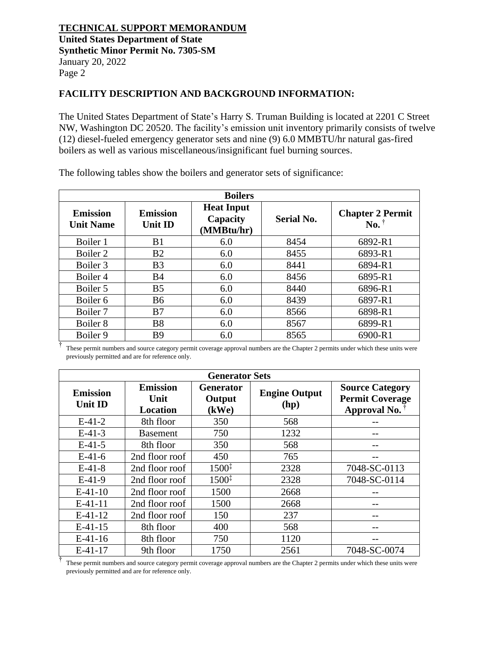### **TECHNICAL SUPPORT MEMORANDUM United States Department of State Synthetic Minor Permit No. 7305-SM** January 20, 2022 Page 2

#### **FACILITY DESCRIPTION AND BACKGROUND INFORMATION:**

The United States Department of State's Harry S. Truman Building is located at 2201 C Street NW, Washington DC 20520. The facility's emission unit inventory primarily consists of twelve (12) diesel-fueled emergency generator sets and nine (9) 6.0 MMBTU/hr natural gas-fired boilers as well as various miscellaneous/insignificant fuel burning sources.

**Boilers Emission Unit Name Emission Unit ID Heat Input Capacity (MMBtu/hr) Serial No. Chapter 2 Permit No.** † Boiler 1 B1 6.0 8454 6892-R1 Boiler 2 B2 6.0 8455 6893-R1 Boiler 3 | B3 | 6.0 | 8441 | 6894-R1 Boiler 4 | B4 | 6.0 | 8456 | 6895-R1 Boiler 5 | B5 | 6.0 | 8440 | 6896-R1 Boiler 6 B6 6.0 8439 6897-R1 Boiler 7 | B7 | 6.0 | 8566 | 6898-R1 Boiler 8 | B8 | 6.0 | 8567 | 6899-R1 Boiler 9 | B9 | 6.0 | 8565 | 6900-R1

The following tables show the boilers and generator sets of significance:

† These permit numbers and source category permit coverage approval numbers are the Chapter 2 permits under which these units were previously permitted and are for reference only.

| <b>Generator Sets</b>      |                                            |                                     |                              |                                                                  |
|----------------------------|--------------------------------------------|-------------------------------------|------------------------------|------------------------------------------------------------------|
| <b>Emission</b><br>Unit ID | <b>Emission</b><br>Unit<br><b>Location</b> | <b>Generator</b><br>Output<br>(kWe) | <b>Engine Output</b><br>(hp) | <b>Source Category</b><br><b>Permit Coverage</b><br>Approval No. |
| $E-41-2$                   | 8th floor                                  | 350                                 | 568                          |                                                                  |
| $E-41-3$                   | <b>Basement</b>                            | 750                                 | 1232                         |                                                                  |
| $E-41-5$                   | 8th floor                                  | 350                                 | 568                          |                                                                  |
| $E-41-6$                   | 2nd floor roof                             | 450                                 | 765                          |                                                                  |
| $E-41-8$                   | 2nd floor roof                             | $1500^{\ddagger}$                   | 2328                         | 7048-SC-0113                                                     |
| $E-41-9$                   | 2nd floor roof                             | $1500^{\ddagger}$                   | 2328                         | 7048-SC-0114                                                     |
| $E-41-10$                  | 2nd floor roof                             | 1500                                | 2668                         |                                                                  |
| $E-41-11$                  | 2nd floor roof                             | 1500                                | 2668                         |                                                                  |
| $E-41-12$                  | 2nd floor roof                             | 150                                 | 237                          |                                                                  |
| $E-41-15$                  | 8th floor                                  | 400                                 | 568                          |                                                                  |
| $E-41-16$                  | 8th floor                                  | 750                                 | 1120                         |                                                                  |
| $E-41-17$                  | 9th floor                                  | 1750                                | 2561                         | 7048-SC-0074                                                     |

<sup>†</sup> These permit numbers and source category permit coverage approval numbers are the Chapter 2 permits under which these units were previously permitted and are for reference only.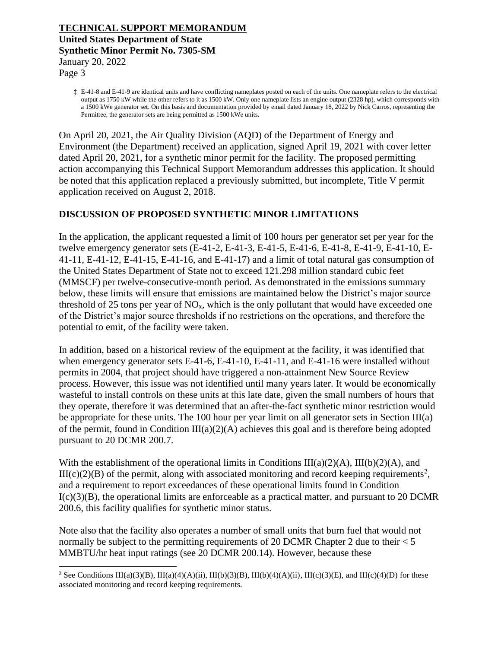# **TECHNICAL SUPPORT MEMORANDUM United States Department of State Synthetic Minor Permit No. 7305-SM**

January 20, 2022

Page 3

On April 20, 2021, the Air Quality Division (AQD) of the Department of Energy and Environment (the Department) received an application, signed April 19, 2021 with cover letter dated April 20, 2021, for a synthetic minor permit for the facility. The proposed permitting action accompanying this Technical Support Memorandum addresses this application. It should be noted that this application replaced a previously submitted, but incomplete, Title V permit application received on August 2, 2018.

## **DISCUSSION OF PROPOSED SYNTHETIC MINOR LIMITATIONS**

In the application, the applicant requested a limit of 100 hours per generator set per year for the twelve emergency generator sets (E-41-2, E-41-3, E-41-5, E-41-6, E-41-8, E-41-9, E-41-10, E-41-11, E-41-12, E-41-15, E-41-16, and E-41-17) and a limit of total natural gas consumption of the United States Department of State not to exceed 121.298 million standard cubic feet (MMSCF) per twelve-consecutive-month period. As demonstrated in the emissions summary below, these limits will ensure that emissions are maintained below the District's major source threshold of 25 tons per year of  $NO<sub>x</sub>$ , which is the only pollutant that would have exceeded one of the District's major source thresholds if no restrictions on the operations, and therefore the potential to emit, of the facility were taken.

In addition, based on a historical review of the equipment at the facility, it was identified that when emergency generator sets E-41-6, E-41-10, E-41-11, and E-41-16 were installed without permits in 2004, that project should have triggered a non-attainment New Source Review process. However, this issue was not identified until many years later. It would be economically wasteful to install controls on these units at this late date, given the small numbers of hours that they operate, therefore it was determined that an after-the-fact synthetic minor restriction would be appropriate for these units. The 100 hour per year limit on all generator sets in Section III(a) of the permit, found in Condition III(a)(2)(A) achieves this goal and is therefore being adopted pursuant to 20 DCMR 200.7.

With the establishment of the operational limits in Conditions III(a)(2)(A), III(b)(2)(A), and  $III(c)(2)(B)$  of the permit, along with associated monitoring and record keeping requirements<sup>2</sup>, and a requirement to report exceedances of these operational limits found in Condition  $I(c)(3)(B)$ , the operational limits are enforceable as a practical matter, and pursuant to 20 DCMR 200.6, this facility qualifies for synthetic minor status.

Note also that the facility also operates a number of small units that burn fuel that would not normally be subject to the permitting requirements of 20 DCMR Chapter 2 due to their  $<$  5 MMBTU/hr heat input ratings (see 20 DCMR 200.14). However, because these

<sup>‡</sup> E-41-8 and E-41-9 are identical units and have conflicting nameplates posted on each of the units. One nameplate refers to the electrical output as 1750 kW while the other refers to it as 1500 kW. Only one nameplate lists an engine output (2328 hp), which corresponds with a 1500 kWe generator set. On this basis and documentation provided by email dated January 18, 2022 by Nick Carros, representing the Permittee, the generator sets are being permitted as 1500 kWe units.

<sup>&</sup>lt;sup>2</sup> See Conditions III(a)(3)(B), III(a)(4)(A)(ii), III(b)(3)(B), III(b)(4)(A)(ii), III(c)(3)(E), and III(c)(4)(D) for these associated monitoring and record keeping requirements.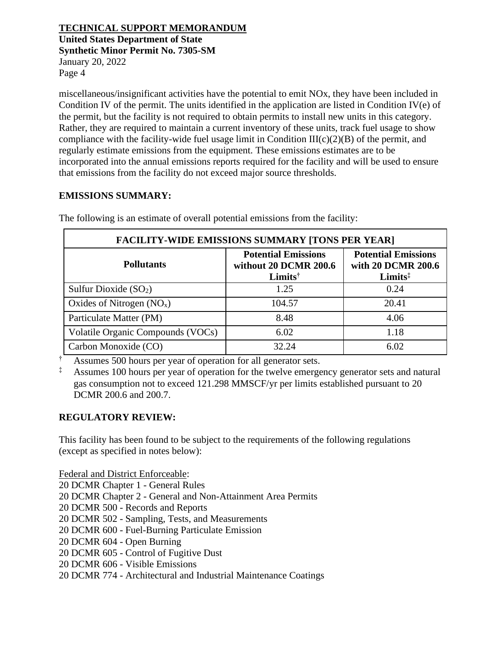### **TECHNICAL SUPPORT MEMORANDUM United States Department of State Synthetic Minor Permit No. 7305-SM** January 20, 2022

Page 4

miscellaneous/insignificant activities have the potential to emit NOx, they have been included in Condition IV of the permit. The units identified in the application are listed in Condition IV $(e)$  of the permit, but the facility is not required to obtain permits to install new units in this category. Rather, they are required to maintain a current inventory of these units, track fuel usage to show compliance with the facility-wide fuel usage limit in Condition  $III(c)(2)(B)$  of the permit, and regularly estimate emissions from the equipment. These emissions estimates are to be incorporated into the annual emissions reports required for the facility and will be used to ensure that emissions from the facility do not exceed major source thresholds.

## **EMISSIONS SUMMARY:**

| <b>FACILITY-WIDE EMISSIONS SUMMARY [TONS PER YEAR]</b> |                                                                                               |                                                                         |  |
|--------------------------------------------------------|-----------------------------------------------------------------------------------------------|-------------------------------------------------------------------------|--|
| <b>Pollutants</b>                                      | <b>Potential Emissions</b><br>without 20 DCMR 200.6<br>Limits <sup><math>\dagger</math></sup> | <b>Potential Emissions</b><br>with 20 DCMR 200.6<br>Limits <sup>‡</sup> |  |
| Sulfur Dioxide $(SO2)$                                 | 1.25                                                                                          | 0.24                                                                    |  |
| Oxides of Nitrogen $(NOx)$                             | 104.57                                                                                        | 20.41                                                                   |  |
| Particulate Matter (PM)                                | 8.48                                                                                          | 4.06                                                                    |  |
| Volatile Organic Compounds (VOCs)                      | 6.02                                                                                          | 1.18                                                                    |  |
| Carbon Monoxide (CO)                                   | 32.24                                                                                         | 6.02                                                                    |  |

The following is an estimate of overall potential emissions from the facility:

† Assumes 500 hours per year of operation for all generator sets.

 $\ddot{\text{ }4}$  Assumes 100 hours per year of operation for the twelve emergency generator sets and natural gas consumption not to exceed 121.298 MMSCF/yr per limits established pursuant to 20 DCMR 200.6 and 200.7.

# **REGULATORY REVIEW:**

This facility has been found to be subject to the requirements of the following regulations (except as specified in notes below):

Federal and District Enforceable:

20 DCMR Chapter 1 - General Rules

20 DCMR Chapter 2 - General and Non-Attainment Area Permits

20 DCMR 500 - Records and Reports

20 DCMR 502 - Sampling, Tests, and Measurements

20 DCMR 600 - Fuel-Burning Particulate Emission

20 DCMR 604 - Open Burning

20 DCMR 605 - Control of Fugitive Dust

20 DCMR 606 - Visible Emissions

20 DCMR 774 - Architectural and Industrial Maintenance Coatings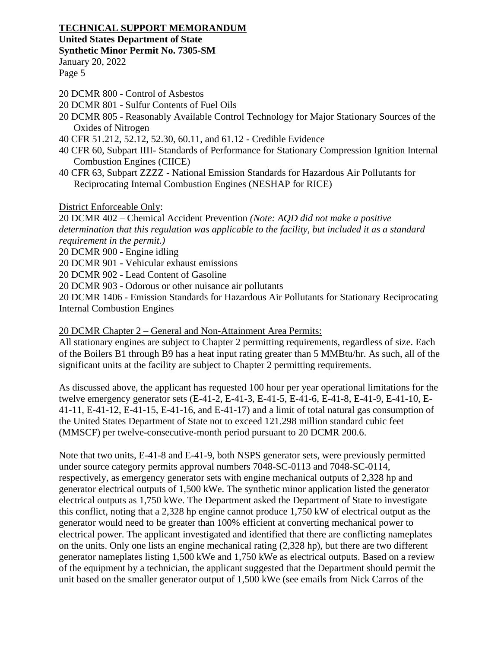**United States Department of State** 

**Synthetic Minor Permit No. 7305-SM**

January 20, 2022 Page 5

- 20 DCMR 800 Control of Asbestos
- 20 DCMR 801 Sulfur Contents of Fuel Oils
- 20 DCMR 805 Reasonably Available Control Technology for Major Stationary Sources of the Oxides of Nitrogen
- 40 CFR 51.212, 52.12, 52.30, 60.11, and 61.12 Credible Evidence
- 40 CFR 60, Subpart IIII- Standards of Performance for Stationary Compression Ignition Internal Combustion Engines (CIICE)
- 40 CFR 63, Subpart ZZZZ National Emission Standards for Hazardous Air Pollutants for Reciprocating Internal Combustion Engines (NESHAP for RICE)

## District Enforceable Only:

20 DCMR 402 – Chemical Accident Prevention *(Note: AQD did not make a positive determination that this regulation was applicable to the facility, but included it as a standard requirement in the permit.)*

20 DCMR 900 - Engine idling

20 DCMR 901 - Vehicular exhaust emissions

20 DCMR 902 - Lead Content of Gasoline

20 DCMR 903 - Odorous or other nuisance air pollutants

20 DCMR 1406 - Emission Standards for Hazardous Air Pollutants for Stationary Reciprocating Internal Combustion Engines

## 20 DCMR Chapter 2 – General and Non-Attainment Area Permits:

All stationary engines are subject to Chapter 2 permitting requirements, regardless of size. Each of the Boilers B1 through B9 has a heat input rating greater than 5 MMBtu/hr. As such, all of the significant units at the facility are subject to Chapter 2 permitting requirements.

As discussed above, the applicant has requested 100 hour per year operational limitations for the twelve emergency generator sets (E-41-2, E-41-3, E-41-5, E-41-6, E-41-8, E-41-9, E-41-10, E-41-11, E-41-12, E-41-15, E-41-16, and E-41-17) and a limit of total natural gas consumption of the United States Department of State not to exceed 121.298 million standard cubic feet (MMSCF) per twelve-consecutive-month period pursuant to 20 DCMR 200.6.

Note that two units, E-41-8 and E-41-9, both NSPS generator sets, were previously permitted under source category permits approval numbers 7048-SC-0113 and 7048-SC-0114, respectively, as emergency generator sets with engine mechanical outputs of 2,328 hp and generator electrical outputs of 1,500 kWe. The synthetic minor application listed the generator electrical outputs as 1,750 kWe. The Department asked the Department of State to investigate this conflict, noting that a 2,328 hp engine cannot produce 1,750 kW of electrical output as the generator would need to be greater than 100% efficient at converting mechanical power to electrical power. The applicant investigated and identified that there are conflicting nameplates on the units. Only one lists an engine mechanical rating (2,328 hp), but there are two different generator nameplates listing 1,500 kWe and 1,750 kWe as electrical outputs. Based on a review of the equipment by a technician, the applicant suggested that the Department should permit the unit based on the smaller generator output of 1,500 kWe (see emails from Nick Carros of the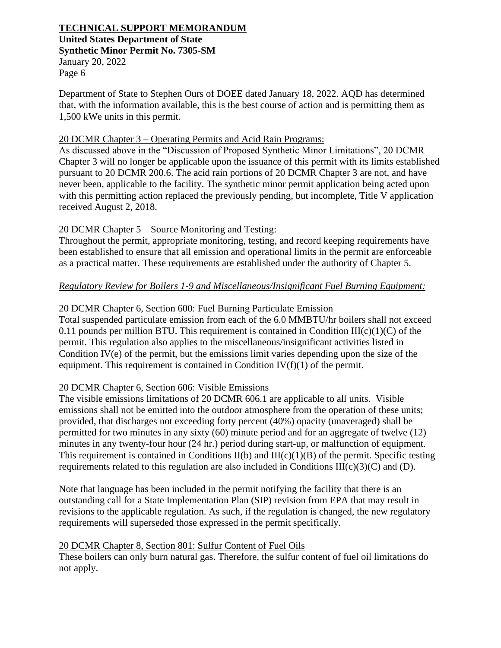**United States Department of State Synthetic Minor Permit No. 7305-SM** January 20, 2022

Page 6

Department of State to Stephen Ours of DOEE dated January 18, 2022. AQD has determined that, with the information available, this is the best course of action and is permitting them as 1,500 kWe units in this permit.

#### 20 DCMR Chapter 3 – Operating Permits and Acid Rain Programs:

As discussed above in the "Discussion of Proposed Synthetic Minor Limitations", 20 DCMR Chapter 3 will no longer be applicable upon the issuance of this permit with its limits established pursuant to 20 DCMR 200.6. The acid rain portions of 20 DCMR Chapter 3 are not, and have never been, applicable to the facility. The synthetic minor permit application being acted upon with this permitting action replaced the previously pending, but incomplete, Title V application received August 2, 2018.

## 20 DCMR Chapter 5 – Source Monitoring and Testing:

Throughout the permit, appropriate monitoring, testing, and record keeping requirements have been established to ensure that all emission and operational limits in the permit are enforceable as a practical matter. These requirements are established under the authority of Chapter 5.

## *Regulatory Review for Boilers 1-9 and Miscellaneous/Insignificant Fuel Burning Equipment:*

## 20 DCMR Chapter 6, Section 600: Fuel Burning Particulate Emission

Total suspended particulate emission from each of the 6.0 MMBTU/hr boilers shall not exceed 0.11 pounds per million BTU. This requirement is contained in Condition III( $c(1)(C)$  of the permit. This regulation also applies to the miscellaneous/insignificant activities listed in Condition IV(e) of the permit, but the emissions limit varies depending upon the size of the equipment. This requirement is contained in Condition  $IV(f)(1)$  of the permit.

## 20 DCMR Chapter 6, Section 606: Visible Emissions

The visible emissions limitations of 20 DCMR 606.1 are applicable to all units. Visible emissions shall not be emitted into the outdoor atmosphere from the operation of these units; provided, that discharges not exceeding forty percent (40%) opacity (unaveraged) shall be permitted for two minutes in any sixty (60) minute period and for an aggregate of twelve (12) minutes in any twenty-four hour (24 hr.) period during start-up, or malfunction of equipment. This requirement is contained in Conditions  $II(b)$  and  $III(c)(1)(B)$  of the permit. Specific testing requirements related to this regulation are also included in Conditions III(c)(3)(C) and (D).

Note that language has been included in the permit notifying the facility that there is an outstanding call for a State Implementation Plan (SIP) revision from EPA that may result in revisions to the applicable regulation. As such, if the regulation is changed, the new regulatory requirements will superseded those expressed in the permit specifically.

#### 20 DCMR Chapter 8, Section 801: Sulfur Content of Fuel Oils

These boilers can only burn natural gas. Therefore, the sulfur content of fuel oil limitations do not apply.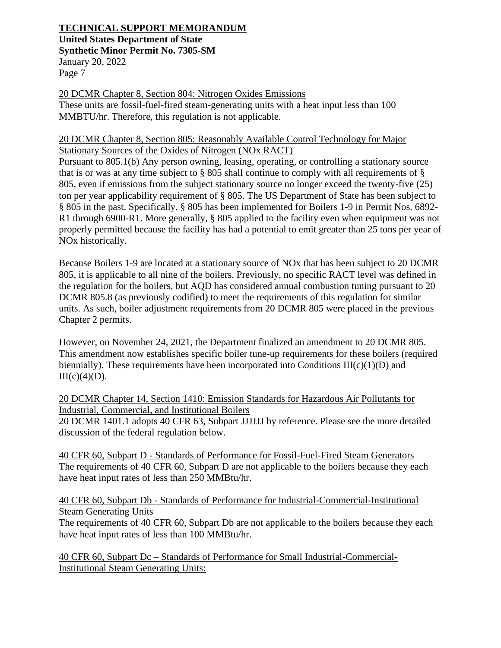**United States Department of State Synthetic Minor Permit No. 7305-SM**

January 20, 2022 Page 7

### 20 DCMR Chapter 8, Section 804: Nitrogen Oxides Emissions

These units are fossil-fuel-fired steam-generating units with a heat input less than 100 MMBTU/hr. Therefore, this regulation is not applicable.

#### 20 DCMR Chapter 8, Section 805: Reasonably Available Control Technology for Major Stationary Sources of the Oxides of Nitrogen (NOx RACT)

Pursuant to 805.1(b) Any person owning, leasing, operating, or controlling a stationary source that is or was at any time subject to § 805 shall continue to comply with all requirements of § 805, even if emissions from the subject stationary source no longer exceed the twenty-five (25) ton per year applicability requirement of § 805. The US Department of State has been subject to § 805 in the past. Specifically, § 805 has been implemented for Boilers 1-9 in Permit Nos. 6892- R1 through 6900-R1. More generally, § 805 applied to the facility even when equipment was not properly permitted because the facility has had a potential to emit greater than 25 tons per year of NOx historically.

Because Boilers 1-9 are located at a stationary source of NOx that has been subject to 20 DCMR 805, it is applicable to all nine of the boilers. Previously, no specific RACT level was defined in the regulation for the boilers, but AQD has considered annual combustion tuning pursuant to 20 DCMR 805.8 (as previously codified) to meet the requirements of this regulation for similar units. As such, boiler adjustment requirements from 20 DCMR 805 were placed in the previous Chapter 2 permits.

However, on November 24, 2021, the Department finalized an amendment to 20 DCMR 805. This amendment now establishes specific boiler tune-up requirements for these boilers (required biennially). These requirements have been incorporated into Conditions  $III(c)(1)(D)$  and  $III(c)(4)(D)$ .

20 DCMR Chapter 14, Section 1410: Emission Standards for Hazardous Air Pollutants for Industrial, Commercial, and Institutional Boilers

20 DCMR 1401.1 adopts 40 CFR 63, Subpart JJJJJJ by reference. Please see the more detailed discussion of the federal regulation below.

40 CFR 60, Subpart D - Standards of Performance for Fossil-Fuel-Fired Steam Generators The requirements of 40 CFR 60, Subpart D are not applicable to the boilers because they each have heat input rates of less than 250 MMBtu/hr.

40 CFR 60, Subpart Db - Standards of Performance for Industrial-Commercial-Institutional Steam Generating Units

The requirements of 40 CFR 60, Subpart Db are not applicable to the boilers because they each have heat input rates of less than 100 MMBtu/hr.

40 CFR 60, Subpart Dc – Standards of Performance for Small Industrial-Commercial-Institutional Steam Generating Units: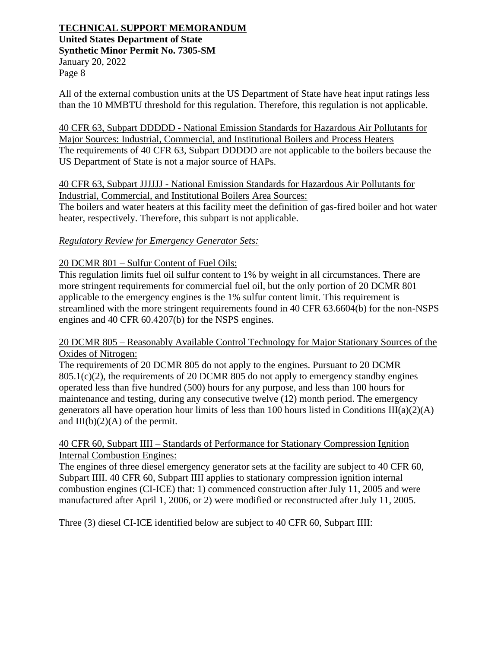**United States Department of State Synthetic Minor Permit No. 7305-SM** January 20, 2022 Page 8

All of the external combustion units at the US Department of State have heat input ratings less than the 10 MMBTU threshold for this regulation. Therefore, this regulation is not applicable.

40 CFR 63, Subpart DDDDD - National Emission Standards for Hazardous Air Pollutants for Major Sources: Industrial, Commercial, and Institutional Boilers and Process Heaters The requirements of 40 CFR 63, Subpart DDDDD are not applicable to the boilers because the US Department of State is not a major source of HAPs.

40 CFR 63, Subpart JJJJJJ - National Emission Standards for Hazardous Air Pollutants for Industrial, Commercial, and Institutional Boilers Area Sources:

The boilers and water heaters at this facility meet the definition of gas-fired boiler and hot water heater, respectively. Therefore, this subpart is not applicable.

### *Regulatory Review for Emergency Generator Sets:*

#### 20 DCMR 801 – Sulfur Content of Fuel Oils:

This regulation limits fuel oil sulfur content to 1% by weight in all circumstances. There are more stringent requirements for commercial fuel oil, but the only portion of 20 DCMR 801 applicable to the emergency engines is the 1% sulfur content limit. This requirement is streamlined with the more stringent requirements found in 40 CFR 63.6604(b) for the non-NSPS engines and 40 CFR 60.4207(b) for the NSPS engines.

#### 20 DCMR 805 – Reasonably Available Control Technology for Major Stationary Sources of the Oxides of Nitrogen:

The requirements of 20 DCMR 805 do not apply to the engines. Pursuant to 20 DCMR  $805.1(c)(2)$ , the requirements of 20 DCMR 805 do not apply to emergency standby engines operated less than five hundred (500) hours for any purpose, and less than 100 hours for maintenance and testing, during any consecutive twelve (12) month period. The emergency generators all have operation hour limits of less than 100 hours listed in Conditions III(a)(2)(A) and  $III(b)(2)(A)$  of the permit.

### 40 CFR 60, Subpart IIII – Standards of Performance for Stationary Compression Ignition Internal Combustion Engines:

The engines of three diesel emergency generator sets at the facility are subject to 40 CFR 60, Subpart IIII. 40 CFR 60, Subpart IIII applies to stationary compression ignition internal combustion engines (CI-ICE) that: 1) commenced construction after July 11, 2005 and were manufactured after April 1, 2006, or 2) were modified or reconstructed after July 11, 2005.

Three (3) diesel CI-ICE identified below are subject to 40 CFR 60, Subpart IIII: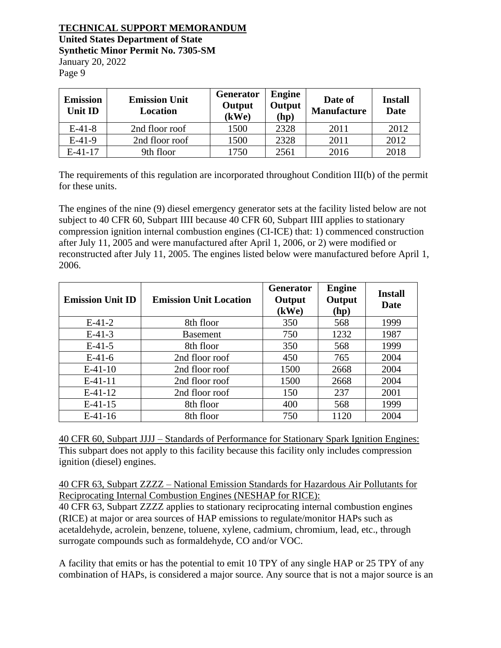#### **TECHNICAL SUPPORT MEMORANDUM United States Department of State Synthetic Minor Permit No. 7305-SM** January 20, 2022 Page 9

| <b>Emission</b><br>Unit ID | <b>Emission Unit</b><br>Location | Generator<br>Output<br>(kWe) | <b>Engine</b><br>Output<br>(hp) | Date of<br><b>Manufacture</b> | <b>Install</b><br><b>Date</b> |
|----------------------------|----------------------------------|------------------------------|---------------------------------|-------------------------------|-------------------------------|
| $E-41-8$                   | 2nd floor roof                   | 1500                         | 2328                            | 2011                          | 2012                          |
| $E-41-9$                   | 2nd floor roof                   | 1500                         | 2328                            | 2011                          | 2012                          |
| $E-41-17$                  | 9th floor                        | 750                          | 2561                            | 2016                          | 2018                          |

The requirements of this regulation are incorporated throughout Condition III(b) of the permit for these units.

The engines of the nine (9) diesel emergency generator sets at the facility listed below are not subject to 40 CFR 60, Subpart IIII because 40 CFR 60, Subpart IIII applies to stationary compression ignition internal combustion engines (CI-ICE) that: 1) commenced construction after July 11, 2005 and were manufactured after April 1, 2006, or 2) were modified or reconstructed after July 11, 2005. The engines listed below were manufactured before April 1, 2006.

| <b>Emission Unit ID</b> | <b>Emission Unit Location</b> | <b>Generator</b><br>Output<br>(kWe) | <b>Engine</b><br>Output<br>(hp) | <b>Install</b><br>Date |
|-------------------------|-------------------------------|-------------------------------------|---------------------------------|------------------------|
| $E-41-2$                | 8th floor                     | 350                                 | 568                             | 1999                   |
| $E-41-3$                | <b>Basement</b>               | 750                                 | 1232                            | 1987                   |
| $E-41-5$                | 8th floor                     | 350                                 | 568                             | 1999                   |
| $E-41-6$                | 2nd floor roof                | 450                                 | 765                             | 2004                   |
| $E-41-10$               | 2nd floor roof                | 1500                                | 2668                            | 2004                   |
| $E-41-11$               | 2nd floor roof                | 1500                                | 2668                            | 2004                   |
| $E-41-12$               | 2nd floor roof                | 150                                 | 237                             | 2001                   |
| $E-41-15$               | 8th floor                     | 400                                 | 568                             | 1999                   |
| $E-41-16$               | 8th floor                     | 750                                 | 1120                            | 2004                   |

40 CFR 60, Subpart JJJJ – Standards of Performance for Stationary Spark Ignition Engines: This subpart does not apply to this facility because this facility only includes compression ignition (diesel) engines.

40 CFR 63, Subpart ZZZZ – National Emission Standards for Hazardous Air Pollutants for Reciprocating Internal Combustion Engines (NESHAP for RICE):

40 CFR 63, Subpart ZZZZ applies to stationary reciprocating internal combustion engines (RICE) at major or area sources of HAP emissions to regulate/monitor HAPs such as acetaldehyde, acrolein, benzene, toluene, xylene, cadmium, chromium, lead, etc., through surrogate compounds such as formaldehyde, CO and/or VOC.

A facility that emits or has the potential to emit 10 TPY of any single HAP or 25 TPY of any combination of HAPs, is considered a major source. Any source that is not a major source is an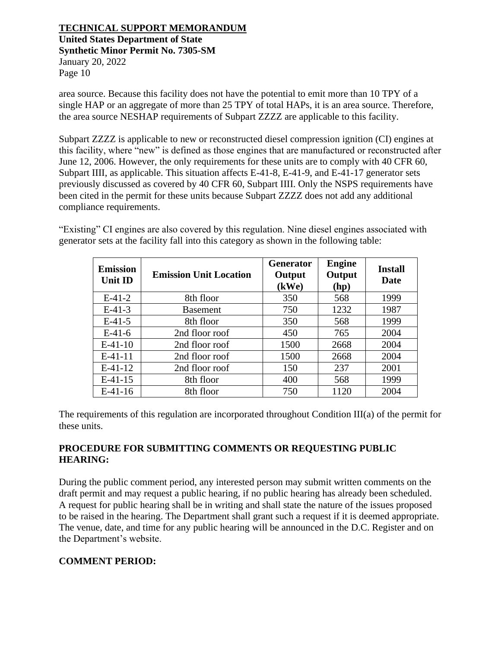### **TECHNICAL SUPPORT MEMORANDUM United States Department of State Synthetic Minor Permit No. 7305-SM** January 20, 2022 Page 10

area source. Because this facility does not have the potential to emit more than 10 TPY of a single HAP or an aggregate of more than 25 TPY of total HAPs, it is an area source. Therefore, the area source NESHAP requirements of Subpart ZZZZ are applicable to this facility.

Subpart ZZZZ is applicable to new or reconstructed diesel compression ignition (CI) engines at this facility, where "new" is defined as those engines that are manufactured or reconstructed after June 12, 2006. However, the only requirements for these units are to comply with 40 CFR 60, Subpart IIII, as applicable. This situation affects E-41-8, E-41-9, and E-41-17 generator sets previously discussed as covered by 40 CFR 60, Subpart IIII. Only the NSPS requirements have been cited in the permit for these units because Subpart ZZZZ does not add any additional compliance requirements.

"Existing" CI engines are also covered by this regulation. Nine diesel engines associated with generator sets at the facility fall into this category as shown in the following table:

| <b>Emission</b><br><b>Unit ID</b> | <b>Emission Unit Location</b> | <b>Generator</b><br>Output<br>(kWe) | <b>Engine</b><br>Output<br>(hp) | <b>Install</b><br>Date |
|-----------------------------------|-------------------------------|-------------------------------------|---------------------------------|------------------------|
| $E-41-2$                          | 8th floor                     | 350                                 | 568                             | 1999                   |
| $E-41-3$                          | <b>Basement</b>               | 750                                 | 1232                            | 1987                   |
| $E-41-5$                          | 8th floor                     | 350                                 | 568                             | 1999                   |
| $E-41-6$                          | 2nd floor roof                | 450                                 | 765                             | 2004                   |
| $E-41-10$                         | 2nd floor roof                | 1500                                | 2668                            | 2004                   |
| $E-41-11$                         | 2nd floor roof                | 1500                                | 2668                            | 2004                   |
| $E-41-12$                         | 2nd floor roof                | 150                                 | 237                             | 2001                   |
| $E-41-15$                         | 8th floor                     | 400                                 | 568                             | 1999                   |
| $E-41-16$                         | 8th floor                     | 750                                 | 1120                            | 2004                   |

The requirements of this regulation are incorporated throughout Condition III(a) of the permit for these units.

## **PROCEDURE FOR SUBMITTING COMMENTS OR REQUESTING PUBLIC HEARING:**

During the public comment period, any interested person may submit written comments on the draft permit and may request a public hearing, if no public hearing has already been scheduled. A request for public hearing shall be in writing and shall state the nature of the issues proposed to be raised in the hearing. The Department shall grant such a request if it is deemed appropriate. The venue, date, and time for any public hearing will be announced in the D.C. Register and on the Department's website.

# **COMMENT PERIOD:**